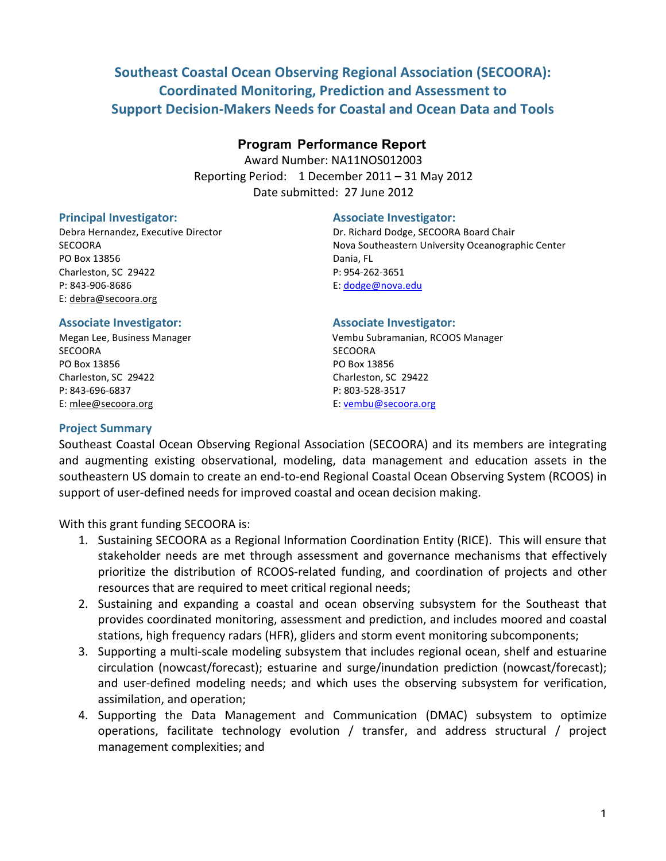# **Southeast Coastal Ocean Observing Regional Association (SECOORA): Coordinated Monitoring, Prediction and Assessment to Support Decision-Makers Needs for Coastal and Ocean Data and Tools**

## **Program Performance Report**

Award Number: NA11NOS012003 Reporting Period: 1 December 2011 – 31 May 2012 Date submitted: 27 June 2012

PO Box 13856 Dania, FL Charleston, SC 29422 P: 954-262-3651 P: 843-906-8686 E: dodge@nova.edu E: debra@secoora.org

## **Principal)Investigator:) Associate Investigator:**

Debra Hernandez, Executive Director **Dr. Richard Dodge, SECOORA Board Chair** SECOORA **Nova Southeastern University Oceanographic Center** Nova Southeastern University Oceanographic Center

#### **Associate Investigator: Associate Investigator:**

SECOORA SECOORA SECOORA PO Box 13856 PO Box 13856 Charleston, SC 29422 Charleston, SC 29422 P: 843-696-6837 P: 803-528-3517 E: mlee@secoora.org example and the example of the E: vembu@secoora.org

Megan Lee, Business Manager **1988 Election Subramanian, RCOOS Manager 1988** 

## **Project Summary**

Southeast Coastal Ocean Observing Regional Association (SECOORA) and its members are integrating and augmenting existing observational, modeling, data management and education assets in the southeastern US domain to create an end-to-end Regional Coastal Ocean Observing System (RCOOS) in support of user-defined needs for improved coastal and ocean decision making.

With this grant funding SECOORA is:

- 1. Sustaining SECOORA as a Regional Information Coordination Entity (RICE). This will ensure that stakeholder needs are met through assessment and governance mechanisms that effectively prioritize the distribution of RCOOS-related funding, and coordination of projects and other resources that are required to meet critical regional needs;
- 2. Sustaining and expanding a coastal and ocean observing subsystem for the Southeast that provides coordinated monitoring, assessment and prediction, and includes moored and coastal stations, high frequency radars (HFR), gliders and storm event monitoring subcomponents;
- 3. Supporting a multi-scale modeling subsystem that includes regional ocean, shelf and estuarine circulation (nowcast/forecast); estuarine and surge/inundation prediction (nowcast/forecast); and user-defined modeling needs; and which uses the observing subsystem for verification, assimilation, and operation;
- 4. Supporting the Data Management and Communication (DMAC) subsystem to optimize operations, facilitate technology evolution / transfer, and address structural / project management complexities; and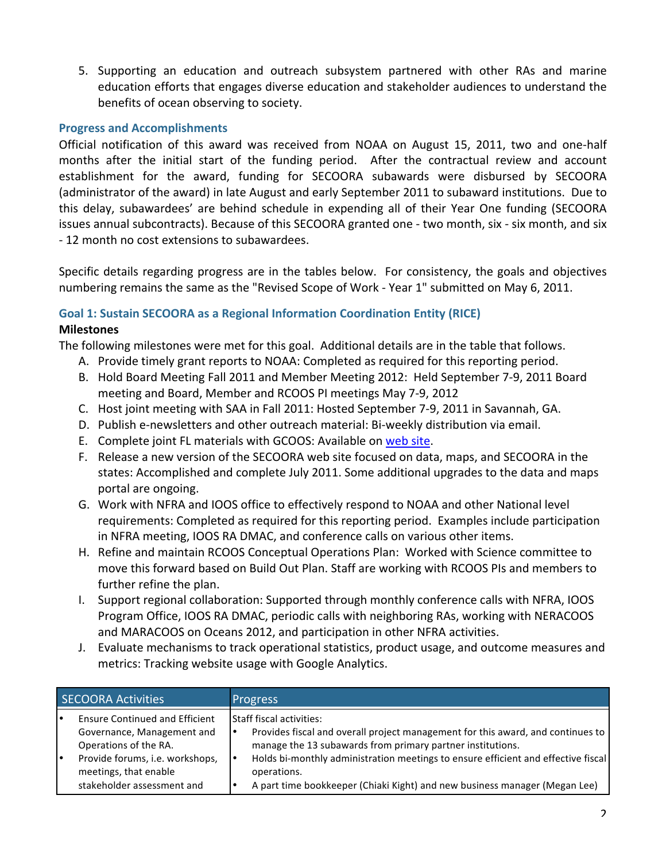5. Supporting an education and outreach subsystem partnered with other RAs and marine education efforts that engages diverse education and stakeholder audiences to understand the benefits of ocean observing to society.

## **Progress and Accomplishments**

Official notification of this award was received from NOAA on August 15, 2011, two and one-half months after the initial start of the funding period. After the contractual review and account establishment for the award, funding for SECOORA subawards were disbursed by SECOORA (administrator of the award) in late August and early September 2011 to subaward institutions. Due to this delay, subawardees' are behind schedule in expending all of their Year One funding (SECOORA issues annual subcontracts). Because of this SECOORA granted one - two month, six - six month, and six - 12 month no cost extensions to subawardees.

Specific details regarding progress are in the tables below. For consistency, the goals and objectives numbering remains the same as the "Revised Scope of Work - Year 1" submitted on May 6, 2011.

# Goal 1: Sustain SECOORA as a Regional Information Coordination Entity (RICE)

## **Milestones**

The following milestones were met for this goal. Additional details are in the table that follows.

- A. Provide timely grant reports to NOAA: Completed as required for this reporting period.
- B. Hold Board Meeting Fall 2011 and Member Meeting 2012: Held September 7-9, 2011 Board meeting and Board, Member and RCOOS PI meetings May 7-9, 2012
- C. Host joint meeting with SAA in Fall 2011: Hosted September 7-9, 2011 in Savannah, GA.
- D. Publish e-newsletters and other outreach material: Bi-weekly distribution via email.
- E. Complete joint FL materials with GCOOS: Available on web site.
- F. Release a new version of the SECOORA web site focused on data, maps, and SECOORA in the states: Accomplished and complete July 2011. Some additional upgrades to the data and maps portal are ongoing.
- G. Work with NFRA and IOOS office to effectively respond to NOAA and other National level requirements: Completed as required for this reporting period. Examples include participation in NFRA meeting, IOOS RA DMAC, and conference calls on various other items.
- H. Refine and maintain RCOOS Conceptual Operations Plan: Worked with Science committee to move this forward based on Build Out Plan. Staff are working with RCOOS PIs and members to further refine the plan.
- I. Support regional collaboration: Supported through monthly conference calls with NFRA, IOOS Program Office, IOOS RA DMAC, periodic calls with neighboring RAs, working with NERACOOS and MARACOOS on Oceans 2012, and participation in other NFRA activities.
- J. Evaluate mechanisms to track operational statistics, product usage, and outcome measures and metrics: Tracking website usage with Google Analytics.

| <b>SECOORA Activities</b> |                                                                                                                                                                                        | <b>Progress</b>                                                                                                                                                                                                                                                                                                                                                    |  |
|---------------------------|----------------------------------------------------------------------------------------------------------------------------------------------------------------------------------------|--------------------------------------------------------------------------------------------------------------------------------------------------------------------------------------------------------------------------------------------------------------------------------------------------------------------------------------------------------------------|--|
|                           | <b>Ensure Continued and Efficient</b><br>Governance, Management and<br>Operations of the RA.<br>Provide forums, i.e. workshops,<br>meetings, that enable<br>stakeholder assessment and | <b>Staff fiscal activities:</b><br>Provides fiscal and overall project management for this award, and continues to<br>manage the 13 subawards from primary partner institutions.<br>Holds bi-monthly administration meetings to ensure efficient and effective fiscal<br>operations.<br>A part time bookkeeper (Chiaki Kight) and new business manager (Megan Lee) |  |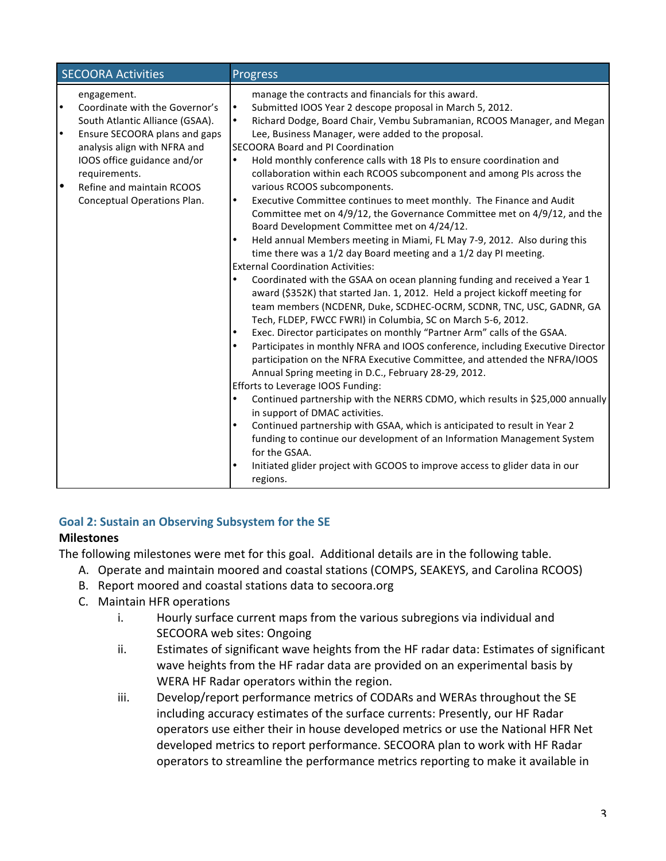| <b>SECOORA Activities</b> |                                 | <b>Progress</b> |                                                                                |  |
|---------------------------|---------------------------------|-----------------|--------------------------------------------------------------------------------|--|
|                           | engagement.                     |                 | manage the contracts and financials for this award.                            |  |
| $\bullet$                 | Coordinate with the Governor's  | $\bullet$       | Submitted IOOS Year 2 descope proposal in March 5, 2012.                       |  |
|                           | South Atlantic Alliance (GSAA). | $\bullet$       | Richard Dodge, Board Chair, Vembu Subramanian, RCOOS Manager, and Megan        |  |
| $\bullet$                 | Ensure SECOORA plans and gaps   |                 | Lee, Business Manager, were added to the proposal.                             |  |
|                           | analysis align with NFRA and    |                 | <b>SECOORA Board and PI Coordination</b>                                       |  |
|                           | IOOS office guidance and/or     | ٠               | Hold monthly conference calls with 18 PIs to ensure coordination and           |  |
|                           | requirements.                   |                 | collaboration within each RCOOS subcomponent and among PIs across the          |  |
| $\bullet$                 | Refine and maintain RCOOS       |                 | various RCOOS subcomponents.                                                   |  |
|                           | Conceptual Operations Plan.     | $\bullet$       | Executive Committee continues to meet monthly. The Finance and Audit           |  |
|                           |                                 |                 | Committee met on 4/9/12, the Governance Committee met on 4/9/12, and the       |  |
|                           |                                 |                 | Board Development Committee met on 4/24/12.                                    |  |
|                           |                                 | ٠               | Held annual Members meeting in Miami, FL May 7-9, 2012. Also during this       |  |
|                           |                                 |                 | time there was a 1/2 day Board meeting and a 1/2 day PI meeting.               |  |
|                           |                                 |                 | <b>External Coordination Activities:</b>                                       |  |
|                           |                                 | ٠               | Coordinated with the GSAA on ocean planning funding and received a Year 1      |  |
|                           |                                 |                 | award (\$352K) that started Jan. 1, 2012. Held a project kickoff meeting for   |  |
|                           |                                 |                 | team members (NCDENR, Duke, SCDHEC-OCRM, SCDNR, TNC, USC, GADNR, GA            |  |
|                           |                                 |                 | Tech, FLDEP, FWCC FWRI) in Columbia, SC on March 5-6, 2012.                    |  |
|                           |                                 | $\bullet$       | Exec. Director participates on monthly "Partner Arm" calls of the GSAA.        |  |
|                           |                                 |                 | Participates in monthly NFRA and IOOS conference, including Executive Director |  |
|                           |                                 |                 | participation on the NFRA Executive Committee, and attended the NFRA/IOOS      |  |
|                           |                                 |                 | Annual Spring meeting in D.C., February 28-29, 2012.                           |  |
|                           |                                 |                 | Efforts to Leverage IOOS Funding:                                              |  |
|                           |                                 | $\bullet$       | Continued partnership with the NERRS CDMO, which results in \$25,000 annually  |  |
|                           |                                 |                 | in support of DMAC activities.                                                 |  |
|                           |                                 |                 | Continued partnership with GSAA, which is anticipated to result in Year 2      |  |
|                           |                                 |                 | funding to continue our development of an Information Management System        |  |
|                           |                                 |                 | for the GSAA.                                                                  |  |
|                           |                                 |                 | Initiated glider project with GCOOS to improve access to glider data in our    |  |
|                           |                                 |                 | regions.                                                                       |  |

# Goal 2: Sustain an Observing Subsystem for the SE

# **Milestones**

The following milestones were met for this goal. Additional details are in the following table.

- A. Operate and maintain moored and coastal stations (COMPS, SEAKEYS, and Carolina RCOOS)
- B. Report moored and coastal stations data to secoora.org
- C. Maintain HFR operations
	- i. Hourly surface current maps from the various subregions via individual and SECOORA web sites: Ongoing
	- ii. Estimates of significant wave heights from the HF radar data: Estimates of significant wave heights from the HF radar data are provided on an experimental basis by WERA HF Radar operators within the region.
	- iii. Develop/report performance metrics of CODARs and WERAs throughout the SE including accuracy estimates of the surface currents: Presently, our HF Radar operators use either their in house developed metrics or use the National HFR Net developed metrics to report performance. SECOORA plan to work with HF Radar operators to streamline the performance metrics reporting to make it available in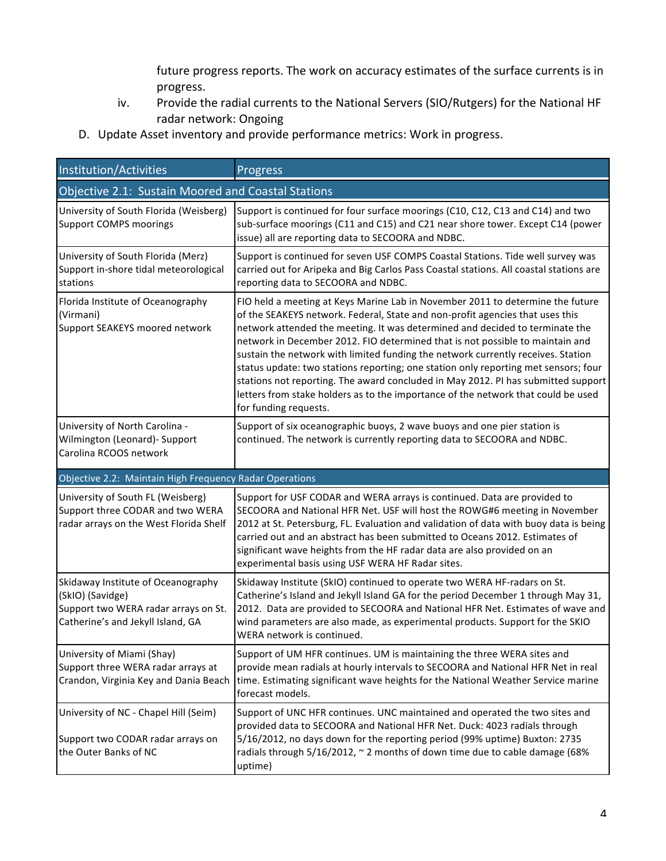future progress reports. The work on accuracy estimates of the surface currents is in progress.

- iv. Provide the radial currents to the National Servers (SIO/Rutgers) for the National HF radar network: Ongoing
- D. Update Asset inventory and provide performance metrics: Work in progress.

| Institution/Activities                                                                                                              | <b>Progress</b>                                                                                                                                                                                                                                                                                                                                                                                                                                                                                                                                                                                                                                                                                                |  |  |
|-------------------------------------------------------------------------------------------------------------------------------------|----------------------------------------------------------------------------------------------------------------------------------------------------------------------------------------------------------------------------------------------------------------------------------------------------------------------------------------------------------------------------------------------------------------------------------------------------------------------------------------------------------------------------------------------------------------------------------------------------------------------------------------------------------------------------------------------------------------|--|--|
| Objective 2.1: Sustain Moored and Coastal Stations                                                                                  |                                                                                                                                                                                                                                                                                                                                                                                                                                                                                                                                                                                                                                                                                                                |  |  |
| University of South Florida (Weisberg)<br><b>Support COMPS moorings</b>                                                             | Support is continued for four surface moorings (C10, C12, C13 and C14) and two<br>sub-surface moorings (C11 and C15) and C21 near shore tower. Except C14 (power<br>issue) all are reporting data to SECOORA and NDBC.                                                                                                                                                                                                                                                                                                                                                                                                                                                                                         |  |  |
| University of South Florida (Merz)<br>Support in-shore tidal meteorological<br>stations                                             | Support is continued for seven USF COMPS Coastal Stations. Tide well survey was<br>carried out for Aripeka and Big Carlos Pass Coastal stations. All coastal stations are<br>reporting data to SECOORA and NDBC.                                                                                                                                                                                                                                                                                                                                                                                                                                                                                               |  |  |
| Florida Institute of Oceanography<br>(Virmani)<br>Support SEAKEYS moored network                                                    | FIO held a meeting at Keys Marine Lab in November 2011 to determine the future<br>of the SEAKEYS network. Federal, State and non-profit agencies that uses this<br>network attended the meeting. It was determined and decided to terminate the<br>network in December 2012. FIO determined that is not possible to maintain and<br>sustain the network with limited funding the network currently receives. Station<br>status update: two stations reporting; one station only reporting met sensors; four<br>stations not reporting. The award concluded in May 2012. PI has submitted support<br>letters from stake holders as to the importance of the network that could be used<br>for funding requests. |  |  |
| University of North Carolina -<br>Wilmington (Leonard)- Support<br>Carolina RCOOS network                                           | Support of six oceanographic buoys, 2 wave buoys and one pier station is<br>continued. The network is currently reporting data to SECOORA and NDBC.                                                                                                                                                                                                                                                                                                                                                                                                                                                                                                                                                            |  |  |
| Objective 2.2: Maintain High Frequency Radar Operations                                                                             |                                                                                                                                                                                                                                                                                                                                                                                                                                                                                                                                                                                                                                                                                                                |  |  |
| University of South FL (Weisberg)<br>Support three CODAR and two WERA<br>radar arrays on the West Florida Shelf                     | Support for USF CODAR and WERA arrays is continued. Data are provided to<br>SECOORA and National HFR Net. USF will host the ROWG#6 meeting in November<br>2012 at St. Petersburg, FL. Evaluation and validation of data with buoy data is being<br>carried out and an abstract has been submitted to Oceans 2012. Estimates of<br>significant wave heights from the HF radar data are also provided on an<br>experimental basis using USF WERA HF Radar sites.                                                                                                                                                                                                                                                 |  |  |
| Skidaway Institute of Oceanography<br>(SkIO) (Savidge)<br>Support two WERA radar arrays on St.<br>Catherine's and Jekyll Island, GA | Skidaway Institute (SkIO) continued to operate two WERA HF-radars on St.<br>Catherine's Island and Jekyll Island GA for the period December 1 through May 31,<br>2012. Data are provided to SECOORA and National HFR Net. Estimates of wave and<br>wind parameters are also made, as experimental products. Support for the SKIO<br>WERA network is continued.                                                                                                                                                                                                                                                                                                                                                 |  |  |
| University of Miami (Shay)<br>Support three WERA radar arrays at<br>Crandon, Virginia Key and Dania Beach                           | Support of UM HFR continues. UM is maintaining the three WERA sites and<br>provide mean radials at hourly intervals to SECOORA and National HFR Net in real<br>time. Estimating significant wave heights for the National Weather Service marine<br>forecast models.                                                                                                                                                                                                                                                                                                                                                                                                                                           |  |  |
| University of NC - Chapel Hill (Seim)<br>Support two CODAR radar arrays on<br>the Outer Banks of NC                                 | Support of UNC HFR continues. UNC maintained and operated the two sites and<br>provided data to SECOORA and National HFR Net. Duck: 4023 radials through<br>5/16/2012, no days down for the reporting period (99% uptime) Buxton: 2735<br>radials through 5/16/2012, ~ 2 months of down time due to cable damage (68%<br>uptime)                                                                                                                                                                                                                                                                                                                                                                               |  |  |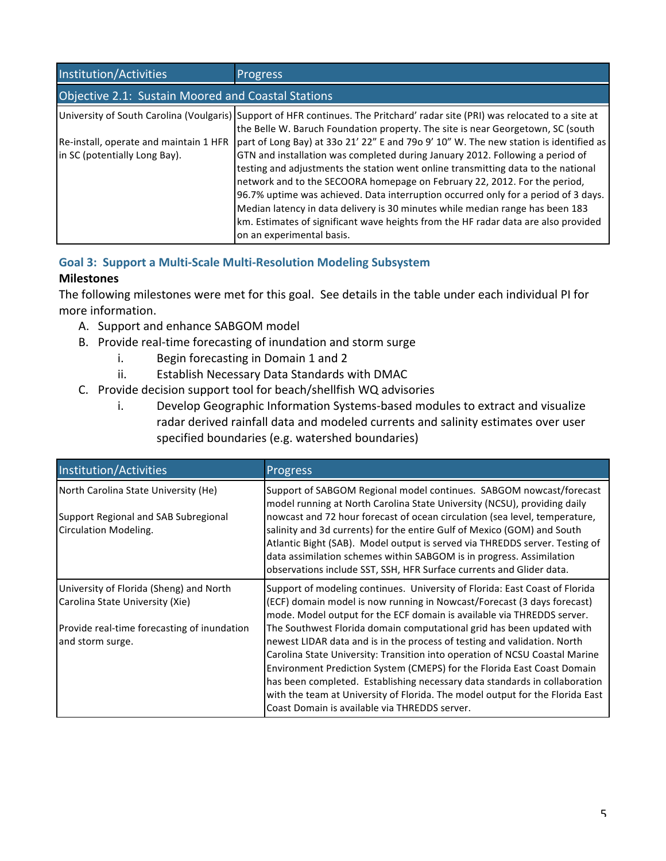| Institution/Activities                                                  | <b>Progress</b>                                                                                                                                                                                                  |  |
|-------------------------------------------------------------------------|------------------------------------------------------------------------------------------------------------------------------------------------------------------------------------------------------------------|--|
| Objective 2.1: Sustain Moored and Coastal Stations                      |                                                                                                                                                                                                                  |  |
|                                                                         | University of South Carolina (Voulgaris) Support of HFR continues. The Pritchard' radar site (PRI) was relocated to a site at<br>the Belle W. Baruch Foundation property. The site is near Georgetown, SC (south |  |
| Re-install, operate and maintain 1 HFR<br>in SC (potentially Long Bay). | part of Long Bay) at 33o 21' 22" E and 79o 9' 10" W. The new station is identified as<br>GTN and installation was completed during January 2012. Following a period of                                           |  |
|                                                                         | testing and adjustments the station went online transmitting data to the national<br>network and to the SECOORA homepage on February 22, 2012. For the period,                                                   |  |
|                                                                         | 96.7% uptime was achieved. Data interruption occurred only for a period of 3 days.<br>Median latency in data delivery is 30 minutes while median range has been 183                                              |  |
|                                                                         | km. Estimates of significant wave heights from the HF radar data are also provided<br>on an experimental basis.                                                                                                  |  |

# **Goal 3: Support a Multi-Scale Multi-Resolution Modeling Subsystem**

# **Milestones**

The following milestones were met for this goal. See details in the table under each individual PI for more information.

- A. Support and enhance SABGOM model
- B. Provide real-time forecasting of inundation and storm surge
	- i. Begin forecasting in Domain  $1$  and  $2$
	- ii. Establish Necessary Data Standards with DMAC
- C. Provide decision support tool for beach/shellfish WQ advisories
	- i. Develop Geographic Information Systems-based modules to extract and visualize radar derived rainfall data and modeled currents and salinity estimates over user specified boundaries (e.g. watershed boundaries)

| Institution/Activities                                        | Progress                                                                                                                                                                                                                                                                                                                                                                             |
|---------------------------------------------------------------|--------------------------------------------------------------------------------------------------------------------------------------------------------------------------------------------------------------------------------------------------------------------------------------------------------------------------------------------------------------------------------------|
| North Carolina State University (He)                          | Support of SABGOM Regional model continues. SABGOM nowcast/forecast<br>model running at North Carolina State University (NCSU), providing daily                                                                                                                                                                                                                                      |
| Support Regional and SAB Subregional<br>Circulation Modeling. | nowcast and 72 hour forecast of ocean circulation (sea level, temperature,<br>salinity and 3d currents) for the entire Gulf of Mexico (GOM) and South<br>Atlantic Bight (SAB). Model output is served via THREDDS server. Testing of<br>data assimilation schemes within SABGOM is in progress. Assimilation<br>observations include SST, SSH, HFR Surface currents and Glider data. |
| University of Florida (Sheng) and North                       | Support of modeling continues. University of Florida: East Coast of Florida                                                                                                                                                                                                                                                                                                          |
| Carolina State University (Xie)                               | (ECF) domain model is now running in Nowcast/Forecast (3 days forecast)<br>mode. Model output for the ECF domain is available via THREDDS server.                                                                                                                                                                                                                                    |
| Provide real-time forecasting of inundation                   | The Southwest Florida domain computational grid has been updated with                                                                                                                                                                                                                                                                                                                |
| and storm surge.                                              | newest LIDAR data and is in the process of testing and validation. North                                                                                                                                                                                                                                                                                                             |
|                                                               | Carolina State University: Transition into operation of NCSU Coastal Marine                                                                                                                                                                                                                                                                                                          |
|                                                               | Environment Prediction System (CMEPS) for the Florida East Coast Domain                                                                                                                                                                                                                                                                                                              |
|                                                               | has been completed. Establishing necessary data standards in collaboration                                                                                                                                                                                                                                                                                                           |
|                                                               | with the team at University of Florida. The model output for the Florida East                                                                                                                                                                                                                                                                                                        |
|                                                               | Coast Domain is available via THREDDS server.                                                                                                                                                                                                                                                                                                                                        |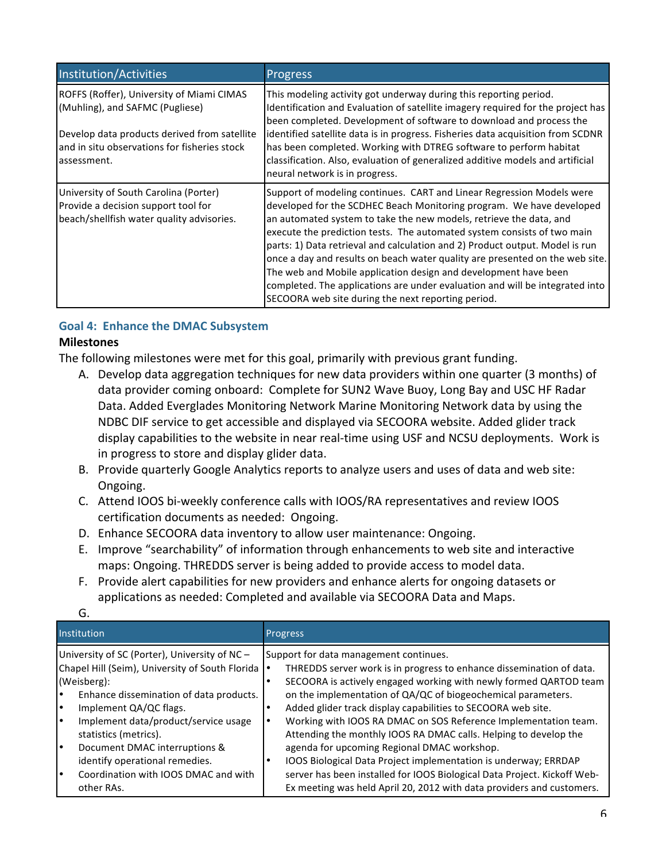| Institution/Activities                                                                                                                                                                      | <b>Progress</b>                                                                                                                                                                                                                                                                                                                                                                                                                                                                                                                                                                                                                                                         |
|---------------------------------------------------------------------------------------------------------------------------------------------------------------------------------------------|-------------------------------------------------------------------------------------------------------------------------------------------------------------------------------------------------------------------------------------------------------------------------------------------------------------------------------------------------------------------------------------------------------------------------------------------------------------------------------------------------------------------------------------------------------------------------------------------------------------------------------------------------------------------------|
| ROFFS (Roffer), University of Miami CIMAS<br>(Muhling), and SAFMC (Pugliese)<br>Develop data products derived from satellite<br>and in situ observations for fisheries stock<br>assessment. | This modeling activity got underway during this reporting period.<br>Identification and Evaluation of satellite imagery required for the project has<br>been completed. Development of software to download and process the<br>identified satellite data is in progress. Fisheries data acquisition from SCDNR<br>has been completed. Working with DTREG software to perform habitat<br>classification. Also, evaluation of generalized additive models and artificial<br>neural network is in progress.                                                                                                                                                                |
| University of South Carolina (Porter)<br>Provide a decision support tool for<br>beach/shellfish water quality advisories.                                                                   | Support of modeling continues. CART and Linear Regression Models were<br>developed for the SCDHEC Beach Monitoring program. We have developed<br>an automated system to take the new models, retrieve the data, and<br>execute the prediction tests. The automated system consists of two main<br>parts: 1) Data retrieval and calculation and 2) Product output. Model is run<br>once a day and results on beach water quality are presented on the web site.<br>The web and Mobile application design and development have been<br>completed. The applications are under evaluation and will be integrated into<br>SECOORA web site during the next reporting period. |

# Goal 4: Enhance the DMAC Subsystem

#### **Milestones**

The following milestones were met for this goal, primarily with previous grant funding.

- A. Develop data aggregation techniques for new data providers within one quarter (3 months) of data provider coming onboard: Complete for SUN2 Wave Buoy, Long Bay and USC HF Radar Data. Added Everglades Monitoring Network Marine Monitoring Network data by using the NDBC DIF service to get accessible and displayed via SECOORA website. Added glider track display capabilities to the website in near real-time using USF and NCSU deployments. Work is in progress to store and display glider data.
- B. Provide quarterly Google Analytics reports to analyze users and uses of data and web site: Ongoing.
- C. Attend IOOS bi-weekly conference calls with IOOS/RA representatives and review IOOS certification documents as needed: Ongoing.
- D. Enhance SECOORA data inventory to allow user maintenance: Ongoing.
- E. Improve "searchability" of information through enhancements to web site and interactive maps: Ongoing. THREDDS server is being added to provide access to model data.
- F. Provide alert capabilities for new providers and enhance alerts for ongoing datasets or applications as needed: Completed and available via SECOORA Data and Maps.

| Institution                                     | Progress                                                                 |
|-------------------------------------------------|--------------------------------------------------------------------------|
| University of SC (Porter), University of NC-    | Support for data management continues.                                   |
| Chapel Hill (Seim), University of South Florida | THREDDS server work is in progress to enhance dissemination of data.     |
| (Weisberg):                                     | SECOORA is actively engaged working with newly formed QARTOD team        |
| Enhance dissemination of data products.         | on the implementation of QA/QC of biogeochemical parameters.             |
| Implement QA/QC flags.                          | Added glider track display capabilities to SECOORA web site.             |
| Implement data/product/service usage            | Working with IOOS RA DMAC on SOS Reference Implementation team.          |
| statistics (metrics).                           | Attending the monthly IOOS RA DMAC calls. Helping to develop the         |
| Document DMAC interruptions &                   | agenda for upcoming Regional DMAC workshop.                              |
| identify operational remedies.                  | IOOS Biological Data Project implementation is underway; ERRDAP          |
| Coordination with IOOS DMAC and with            | server has been installed for IOOS Biological Data Project. Kickoff Web- |
| other RAs.                                      | Ex meeting was held April 20, 2012 with data providers and customers.    |

G.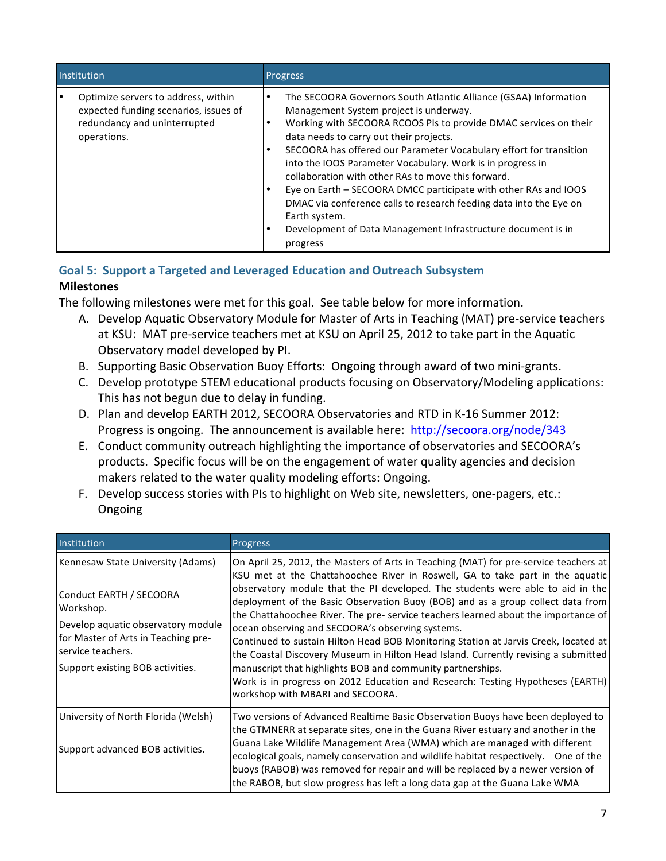| Institution                                                                                                                 | Progress                                                                                                                                                                                                                                                                                                                                                                                                                                                                                                                                                                                                                                                                 |
|-----------------------------------------------------------------------------------------------------------------------------|--------------------------------------------------------------------------------------------------------------------------------------------------------------------------------------------------------------------------------------------------------------------------------------------------------------------------------------------------------------------------------------------------------------------------------------------------------------------------------------------------------------------------------------------------------------------------------------------------------------------------------------------------------------------------|
| Optimize servers to address, within<br>expected funding scenarios, issues of<br>redundancy and uninterrupted<br>operations. | The SECOORA Governors South Atlantic Alliance (GSAA) Information<br>٠<br>Management System project is underway.<br>Working with SECOORA RCOOS PIs to provide DMAC services on their<br>٠<br>data needs to carry out their projects.<br>SECOORA has offered our Parameter Vocabulary effort for transition<br>٠<br>into the IOOS Parameter Vocabulary. Work is in progress in<br>collaboration with other RAs to move this forward.<br>Eye on Earth – SECOORA DMCC participate with other RAs and IOOS<br>DMAC via conference calls to research feeding data into the Eye on<br>Earth system.<br>Development of Data Management Infrastructure document is in<br>progress |

## Goal 5: Support a Targeted and Leveraged Education and Outreach Subsystem **Milestones**

The following milestones were met for this goal. See table below for more information.

- A. Develop Aquatic Observatory Module for Master of Arts in Teaching (MAT) pre-service teachers at KSU: MAT pre-service teachers met at KSU on April 25, 2012 to take part in the Aquatic Observatory model developed by PI.
- B. Supporting Basic Observation Buoy Efforts: Ongoing through award of two mini-grants.
- C. Develop prototype STEM educational products focusing on Observatory/Modeling applications: This has not begun due to delay in funding.
- D. Plan and develop EARTH 2012, SECOORA Observatories and RTD in K-16 Summer 2012: Progress is ongoing. The announcement is available here: http://secoora.org/node/343
- E. Conduct community outreach highlighting the importance of observatories and SECOORA's products. Specific focus will be on the engagement of water quality agencies and decision makers related to the water quality modeling efforts: Ongoing.
- F. Develop success stories with PIs to highlight on Web site, newsletters, one-pagers, etc.: Ongoing

| Institution                                                                                                                                                                                                     | <b>Progress</b>                                                                                                                                                                                                                                                                                                                                                                                                                                                                                                                                                                                                                                                                                                                                                                                                                                      |
|-----------------------------------------------------------------------------------------------------------------------------------------------------------------------------------------------------------------|------------------------------------------------------------------------------------------------------------------------------------------------------------------------------------------------------------------------------------------------------------------------------------------------------------------------------------------------------------------------------------------------------------------------------------------------------------------------------------------------------------------------------------------------------------------------------------------------------------------------------------------------------------------------------------------------------------------------------------------------------------------------------------------------------------------------------------------------------|
| Kennesaw State University (Adams)<br>Conduct EARTH / SECOORA<br>Workshop.<br>Develop aquatic observatory module<br>for Master of Arts in Teaching pre-<br>service teachers.<br>Support existing BOB activities. | On April 25, 2012, the Masters of Arts in Teaching (MAT) for pre-service teachers at<br>KSU met at the Chattahoochee River in Roswell, GA to take part in the aquatic<br>observatory module that the PI developed. The students were able to aid in the<br>deployment of the Basic Observation Buoy (BOB) and as a group collect data from<br>the Chattahoochee River. The pre-service teachers learned about the importance of<br>ocean observing and SECOORA's observing systems.<br>Continued to sustain Hilton Head BOB Monitoring Station at Jarvis Creek, located at<br>the Coastal Discovery Museum in Hilton Head Island. Currently revising a submitted<br>manuscript that highlights BOB and community partnerships.<br>Work is in progress on 2012 Education and Research: Testing Hypotheses (EARTH)<br>workshop with MBARI and SECOORA. |
| University of North Florida (Welsh)<br>Support advanced BOB activities.                                                                                                                                         | Two versions of Advanced Realtime Basic Observation Buoys have been deployed to<br>the GTMNERR at separate sites, one in the Guana River estuary and another in the<br>Guana Lake Wildlife Management Area (WMA) which are managed with different<br>ecological goals, namely conservation and wildlife habitat respectively. One of the<br>buoys (RABOB) was removed for repair and will be replaced by a newer version of<br>the RABOB, but slow progress has left a long data gap at the Guana Lake WMA                                                                                                                                                                                                                                                                                                                                           |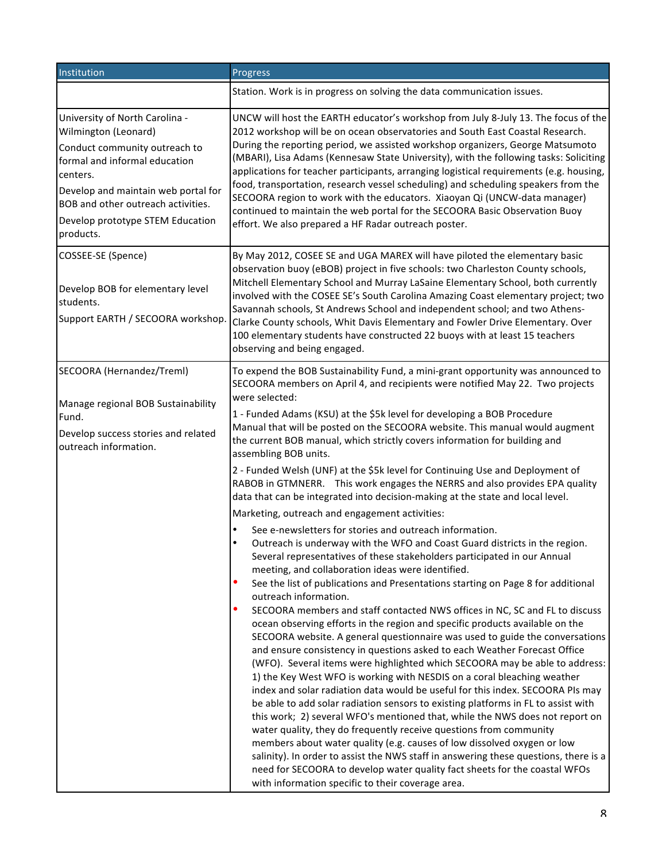| Institution                                                                                                                                                                                                                                                        | Progress                                                                                                                                                                                                                                                                                                                                                                                                                                                                                                                                                                                                                                                                                                                                                                                                                                                                                                                                                                                                                                                                                                                                                                                                                                                                                                                                                                                                                                                                                                                                                                                                                                                                                                                                                                                                                                                                                                                                                                                                                                                                                                                                                                                                                                                                       |
|--------------------------------------------------------------------------------------------------------------------------------------------------------------------------------------------------------------------------------------------------------------------|--------------------------------------------------------------------------------------------------------------------------------------------------------------------------------------------------------------------------------------------------------------------------------------------------------------------------------------------------------------------------------------------------------------------------------------------------------------------------------------------------------------------------------------------------------------------------------------------------------------------------------------------------------------------------------------------------------------------------------------------------------------------------------------------------------------------------------------------------------------------------------------------------------------------------------------------------------------------------------------------------------------------------------------------------------------------------------------------------------------------------------------------------------------------------------------------------------------------------------------------------------------------------------------------------------------------------------------------------------------------------------------------------------------------------------------------------------------------------------------------------------------------------------------------------------------------------------------------------------------------------------------------------------------------------------------------------------------------------------------------------------------------------------------------------------------------------------------------------------------------------------------------------------------------------------------------------------------------------------------------------------------------------------------------------------------------------------------------------------------------------------------------------------------------------------------------------------------------------------------------------------------------------------|
|                                                                                                                                                                                                                                                                    | Station. Work is in progress on solving the data communication issues.                                                                                                                                                                                                                                                                                                                                                                                                                                                                                                                                                                                                                                                                                                                                                                                                                                                                                                                                                                                                                                                                                                                                                                                                                                                                                                                                                                                                                                                                                                                                                                                                                                                                                                                                                                                                                                                                                                                                                                                                                                                                                                                                                                                                         |
| University of North Carolina -<br>Wilmington (Leonard)<br>Conduct community outreach to<br>formal and informal education<br>centers.<br>Develop and maintain web portal for<br>BOB and other outreach activities.<br>Develop prototype STEM Education<br>products. | UNCW will host the EARTH educator's workshop from July 8-July 13. The focus of the<br>2012 workshop will be on ocean observatories and South East Coastal Research.<br>During the reporting period, we assisted workshop organizers, George Matsumoto<br>(MBARI), Lisa Adams (Kennesaw State University), with the following tasks: Soliciting<br>applications for teacher participants, arranging logistical requirements (e.g. housing,<br>food, transportation, research vessel scheduling) and scheduling speakers from the<br>SECOORA region to work with the educators. Xiaoyan Qi (UNCW-data manager)<br>continued to maintain the web portal for the SECOORA Basic Observation Buoy<br>effort. We also prepared a HF Radar outreach poster.                                                                                                                                                                                                                                                                                                                                                                                                                                                                                                                                                                                                                                                                                                                                                                                                                                                                                                                                                                                                                                                                                                                                                                                                                                                                                                                                                                                                                                                                                                                            |
| COSSEE-SE (Spence)<br>Develop BOB for elementary level<br>students.<br>Support EARTH / SECOORA workshop.                                                                                                                                                           | By May 2012, COSEE SE and UGA MAREX will have piloted the elementary basic<br>observation buoy (eBOB) project in five schools: two Charleston County schools,<br>Mitchell Elementary School and Murray LaSaine Elementary School, both currently<br>involved with the COSEE SE's South Carolina Amazing Coast elementary project; two<br>Savannah schools, St Andrews School and independent school; and two Athens-<br>Clarke County schools, Whit Davis Elementary and Fowler Drive Elementary. Over<br>100 elementary students have constructed 22 buoys with at least 15 teachers<br>observing and being engaged.                                                                                                                                                                                                                                                                                                                                                                                                                                                                                                                                                                                                                                                                                                                                                                                                                                                                                                                                                                                                                                                                                                                                                                                                                                                                                                                                                                                                                                                                                                                                                                                                                                                          |
| SECOORA (Hernandez/Treml)<br>Manage regional BOB Sustainability<br>Fund.<br>Develop success stories and related<br>outreach information.                                                                                                                           | To expend the BOB Sustainability Fund, a mini-grant opportunity was announced to<br>SECOORA members on April 4, and recipients were notified May 22. Two projects<br>were selected:<br>1 - Funded Adams (KSU) at the \$5k level for developing a BOB Procedure<br>Manual that will be posted on the SECOORA website. This manual would augment<br>the current BOB manual, which strictly covers information for building and<br>assembling BOB units.<br>2 - Funded Welsh (UNF) at the \$5k level for Continuing Use and Deployment of<br>RABOB in GTMNERR. This work engages the NERRS and also provides EPA quality<br>data that can be integrated into decision-making at the state and local level.<br>Marketing, outreach and engagement activities:<br>See e-newsletters for stories and outreach information.<br>Outreach is underway with the WFO and Coast Guard districts in the region.<br>Several representatives of these stakeholders participated in our Annual<br>meeting, and collaboration ideas were identified.<br>٠<br>See the list of publications and Presentations starting on Page 8 for additional<br>outreach information.<br>SECOORA members and staff contacted NWS offices in NC, SC and FL to discuss<br>ocean observing efforts in the region and specific products available on the<br>SECOORA website. A general questionnaire was used to guide the conversations<br>and ensure consistency in questions asked to each Weather Forecast Office<br>(WFO). Several items were highlighted which SECOORA may be able to address:<br>1) the Key West WFO is working with NESDIS on a coral bleaching weather<br>index and solar radiation data would be useful for this index. SECOORA PIs may<br>be able to add solar radiation sensors to existing platforms in FL to assist with<br>this work; 2) several WFO's mentioned that, while the NWS does not report on<br>water quality, they do frequently receive questions from community<br>members about water quality (e.g. causes of low dissolved oxygen or low<br>salinity). In order to assist the NWS staff in answering these questions, there is a<br>need for SECOORA to develop water quality fact sheets for the coastal WFOs<br>with information specific to their coverage area. |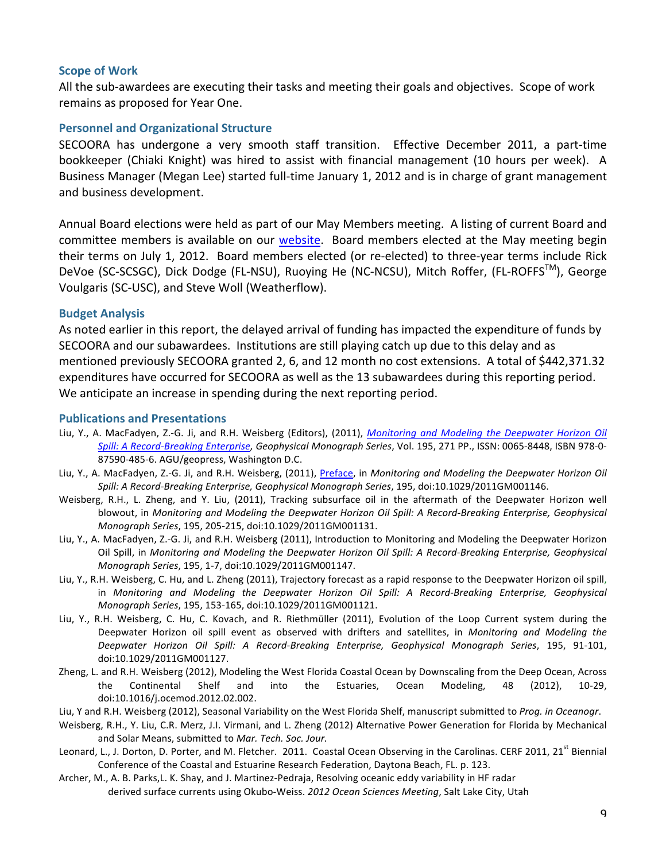### **Scope of Work**

All the sub-awardees are executing their tasks and meeting their goals and objectives. Scope of work remains as proposed for Year One.

### **Personnel and Organizational Structure**

SECOORA has undergone a very smooth staff transition. Effective December 2011, a part-time bookkeeper (Chiaki Knight) was hired to assist with financial management (10 hours per week). A Business Manager (Megan Lee) started full-time January 1, 2012 and is in charge of grant management and business development.

Annual Board elections were held as part of our May Members meeting. A listing of current Board and committee members is available on our website. Board members elected at the May meeting begin their terms on July 1, 2012. Board members elected (or re-elected) to three-year terms include Rick DeVoe (SC-SCSGC), Dick Dodge (FL-NSU), Ruoying He (NC-NCSU), Mitch Roffer, (FL-ROFFS<sup>TM</sup>), George Voulgaris (SC-USC), and Steve Woll (Weatherflow).

#### **Budget Analysis**

As noted earlier in this report, the delayed arrival of funding has impacted the expenditure of funds by SECOORA and our subawardees. Institutions are still playing catch up due to this delay and as mentioned previously SECOORA granted 2, 6, and 12 month no cost extensions. A total of \$442,371.32 expenditures have occurred for SECOORA as well as the 13 subawardees during this reporting period. We anticipate an increase in spending during the next reporting period.

#### **Publications)and)Presentations**

- Liu, Y., A. MacFadyen, Z.-G. Ji, and R.H. Weisberg (Editors), (2011), *Monitoring and Modeling the Deepwater Horizon Oil* Spill: A Record-Breaking Enterprise, Geophysical Monograph Series, Vol. 195, 271 PP., ISSN: 0065-8448, ISBN 978-0-87590-485-6. AGU/geopress, Washington D.C.
- Liu, Y., A. MacFadyen, Z.-G. Ji, and R.H. Weisberg, (2011), Preface, in *Monitoring and Modeling the Deepwater Horizon Oil* Spill: A Record-Breaking Enterprise, Geophysical Monograph Series, 195, doi:10.1029/2011GM001146.
- Weisberg, R.H., L. Zheng, and Y. Liu, (2011), Tracking subsurface oil in the aftermath of the Deepwater Horizon well blowout, in *Monitoring and Modeling the Deepwater Horizon Oil Spill: A Record-Breaking Enterprise, Geophysical Monograph Series*, 195, 205-215, doi:10.1029/2011GM001131.
- Liu, Y., A. MacFadyen, Z.-G. Ji, and R.H. Weisberg (2011), Introduction to Monitoring and Modeling the Deepwater Horizon Oil Spill, in *Monitoring and Modeling the Deepwater Horizon Oil Spill: A Record-Breaking Enterprise, Geophysical Monograph Series, 195, 1-7, doi:10.1029/2011GM001147.*
- Liu, Y., R.H. Weisberg, C. Hu, and L. Zheng (2011), Trajectory forecast as a rapid response to the Deepwater Horizon oil spill, in Monitoring and Modeling the Deepwater Horizon Oil Spill: A Record-Breaking Enterprise, Geophysical *Monograph Series, 195, 153-165, doi:10.1029/2011GM001121.*
- Liu, Y., R.H. Weisberg, C. Hu, C. Kovach, and R. Riethmüller (2011), Evolution of the Loop Current system during the Deepwater Horizon oil spill event as observed with drifters and satellites, in *Monitoring and Modeling the* Deepwater Horizon Oil Spill: A Record-Breaking Enterprise, Geophysical Monograph Series, 195, 91-101, doi:10.1029/2011GM001127.
- Zheng, L. and R.H. Weisberg (2012), Modeling the West Florida Coastal Ocean by Downscaling from the Deep Ocean, Across the Continental Shelf and into the Estuaries, Ocean Modeling, 48 (2012), 10-29, doi:10.1016/j.ocemod.2012.02.002.
- Liu, Y and R.H. Weisberg (2012), Seasonal Variability on the West Florida Shelf, manuscript submitted to Prog. in Oceanogr.
- Weisberg, R.H., Y. Liu, C.R. Merz, J.I. Virmani, and L. Zheng (2012) Alternative Power Generation for Florida by Mechanical and Solar Means, submitted to Mar. Tech. Soc. Jour.
- Leonard, L., J. Dorton, D. Porter, and M. Fletcher. 2011. Coastal Ocean Observing in the Carolinas. CERF 2011, 21<sup>st</sup> Biennial Conference of the Coastal and Estuarine Research Federation, Daytona Beach, FL. p. 123.
- Archer, M., A. B. Parks,L. K. Shay, and J. Martinez-Pedraja, Resolving oceanic eddy variability in HF radar derived surface currents using Okubo-Weiss. 2012 Ocean Sciences Meeting, Salt Lake City, Utah